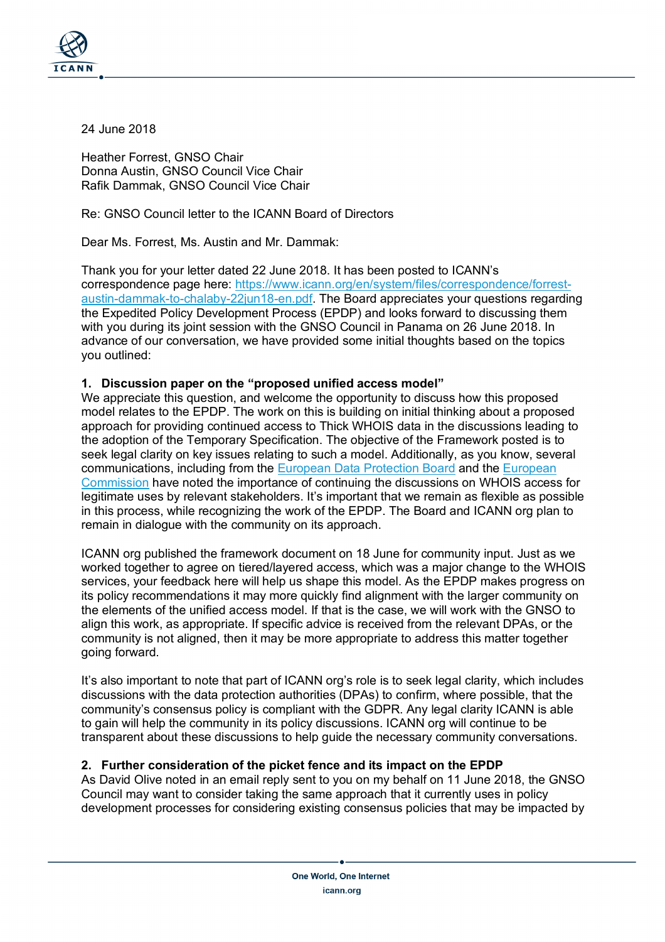

24 June 2018

Heather Forrest, GNSO Chair Donna Austin, GNSO Council Vice Chair Rafik Dammak, GNSO Council Vice Chair

Re: GNSO Council letter to the ICANN Board of Directors

Dear Ms. Forrest, Ms. Austin and Mr. Dammak:

Thank you for your letter dated 22 June 2018. It has been posted to ICANN's correspondence page here: https://www.icann.org/en/system/files/correspondence/forrestaustin-dammak-to-chalaby-22jun18-en.pdf. The Board appreciates your questions regarding the Expedited Policy Development Process (EPDP) and looks forward to discussing them with you during its joint session with the GNSO Council in Panama on 26 June 2018. In advance of our conversation, we have provided some initial thoughts based on the topics you outlined:

## **1. Discussion paper on the "proposed unified access model"**

We appreciate this question, and welcome the opportunity to discuss how this proposed model relates to the EPDP. The work on this is building on initial thinking about a proposed approach for providing continued access to Thick WHOIS data in the discussions leading to the adoption of the Temporary Specification. The objective of the Framework posted is to seek legal clarity on key issues relating to such a model. Additionally, as you know, several communications, including from the European Data Protection Board and the European Commission have noted the importance of continuing the discussions on WHOIS access for legitimate uses by relevant stakeholders. It's important that we remain as flexible as possible in this process, while recognizing the work of the EPDP. The Board and ICANN org plan to remain in dialogue with the community on its approach.

ICANN org published the framework document on 18 June for community input. Just as we worked together to agree on tiered/layered access, which was a major change to the WHOIS services, your feedback here will help us shape this model. As the EPDP makes progress on its policy recommendations it may more quickly find alignment with the larger community on the elements of the unified access model. If that is the case, we will work with the GNSO to align this work, as appropriate. If specific advice is received from the relevant DPAs, or the community is not aligned, then it may be more appropriate to address this matter together going forward.

It's also important to note that part of ICANN org's role is to seek legal clarity, which includes discussions with the data protection authorities (DPAs) to confirm, where possible, that the community's consensus policy is compliant with the GDPR. Any legal clarity ICANN is able to gain will help the community in its policy discussions. ICANN org will continue to be transparent about these discussions to help guide the necessary community conversations.

## **2. Further consideration of the picket fence and its impact on the EPDP**

As David Olive noted in an email reply sent to you on my behalf on 11 June 2018, the GNSO Council may want to consider taking the same approach that it currently uses in policy development processes for considering existing consensus policies that may be impacted by